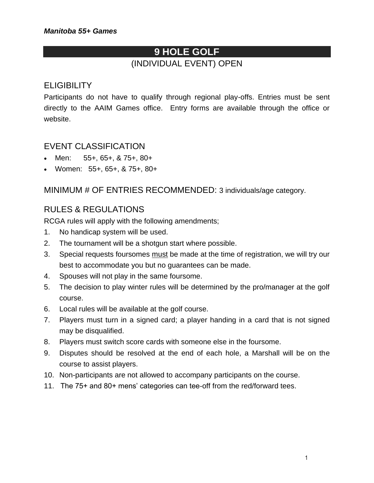# **9 HOLE GOLF** (INDIVIDUAL EVENT) OPEN

### **ELIGIBILITY**

Participants do not have to qualify through regional play-offs. Entries must be sent directly to the AAIM Games office. Entry forms are available through the office or website.

#### EVENT CLASSIFICATION

- Men: 55+, 65+, & 75+, 80+
- Women: 55+, 65+, & 75+, 80+

MINIMUM # OF ENTRIES RECOMMENDED: 3 individuals/age category.

#### RULES & REGULATIONS

RCGA rules will apply with the following amendments;

- 1. No handicap system will be used.
- 2. The tournament will be a shotgun start where possible.
- 3. Special requests foursomes must be made at the time of registration, we will try our best to accommodate you but no guarantees can be made.
- 4. Spouses will not play in the same foursome.
- 5. The decision to play winter rules will be determined by the pro/manager at the golf course.
- 6. Local rules will be available at the golf course.
- 7. Players must turn in a signed card; a player handing in a card that is not signed may be disqualified.
- 8. Players must switch score cards with someone else in the foursome.
- 9. Disputes should be resolved at the end of each hole, a Marshall will be on the course to assist players.
- 10. Non-participants are not allowed to accompany participants on the course.
- 11. The 75+ and 80+ mens' categories can tee-off from the red/forward tees.